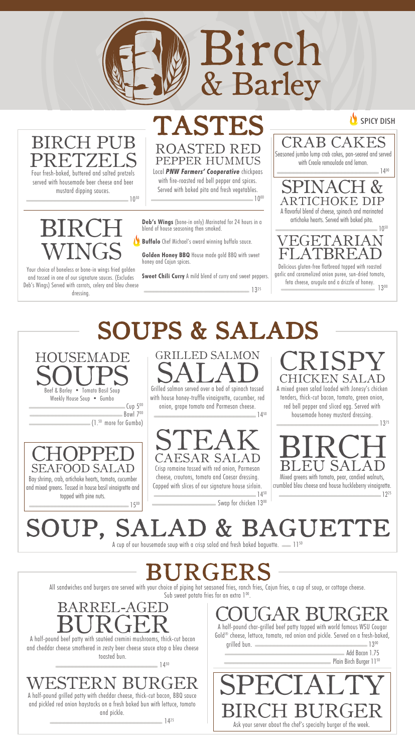FLATBREAD Delicious gluten-free flatbread topped with roasted garlic and caramelized onion puree, sun-dried tomato, feta cheese, arugula and a drizzle of honey.  $-13^{00}$ 

#### **Deb's Wings** (bone-in only) Marinated for 24 hours in a blend of house seasoning then smoked.

**Buffalo** Chef Michael's award winning buffalo sauce.

**Golden Honey BBQ** House made gold BBQ with sweet honey and Cajun spices.

**Sweet Chili Curry** A mild blend of curry and sweet peppers.

**RISPY** CHICKEN SALAD

A mixed green salad loaded with Jonesy's chicken tenders, thick-cut bacon, tomato, green onion, red bell pepper and sliced egg. Served with housemade honey mustard dressing.  $-13^{75}$ 

crumbled bleu cheese and house huckleberry vinaigrette.  $-12^{25}$ 

Swap for chicken 1300



### BIRCH PUB PRETZELS

cheese, croutons, tomato and Caesar dressing. Capped with slices of our signature house sirloin.  $-1450$ 

Four fresh-baked, buttered and salted pretzels served with housemade beer cheese and beer mustard dipping sauces.

 $-10^{50}$ 



SPICY DISH





### BARREL-AGE BURGER

A half-pound grilled patty with cheddar cheese, thick-cut bacon, BBQ sauce and pickled red onion haystacks on a fresh baked bun with lettuce, tomato and pickle.  $-14^{25}$ 

GRILLED SALMON SALAD

Grilled salmon served over a bed of spinach tossed with house honey-truffle vinaigrette, cucumber, red onion, grape tomato and Parmesan cheese.

> FAR BI A half-pound char-grilled beef patty topped with world famous WSU Cougar Gold® cheese, lettuce, tomato, red onion and pickle. Served on a fresh-baked, grilled bun. ------------------------------------------------------------------------------------------------ 1300 Add Bacon 1.75 Plain Birch Burger 11<sup>50</sup> SPECIALTY BIRCH BURGER Ask your server about the chef's specialty burger of the week.

--------------------------------------------------------------------------------------- 1450

CHOPPED SEAFOOD SALAD

Bay shrimp, crab, artichoke hearts, tomato, cucumber and mixed greens. Tossed in house basil vinaigrette and topped with pine nuts.

Your choice of boneless or bone-in wings fried golden and tossed in one of our signature sauces. (Excludes Deb's Wings) Served with carrots, celery and bleu cheese  $d$ ressing.  $\overline{a}$ .  $\overline{a}$ .  $\overline{a}$  and show choose  $\overline{a}$ .  $\overline{a}$ 

------------------------------------------------------------------------------------- 1500

#### A cup of our housemade soup with a crisp salad and fresh baked baguette.  $\sim$  1150 SOUP, SALAD & BAGUETTE

A half-pound beef patty with sautéed cremini mushrooms, thick-cut bacon and cheddar cheese smothered in zesty beer cheese sauce atop a bleu cheese toasted bun.

--------------------------------------------------------------------------------------- 1450

#### ESTERN BURGE

ROASTED RED PEPPER HUMMUS Local *PNW Farmers' Cooperative* chickpeas with fire-roasted red bell pepper and spices. Served with baked pita and fresh vegetables.

--------------------------------------------------------------------------------------- 1000

### BIRCH WINGS

HOUSEMADE SOUPS Beef & Barley • Tomato Basil Soup

Weekly House Soup • Gumbo  $-$  Cup 500  $-Bowl$  700

 $(1.50$  more for Gumbo)

# SOUPS & SALADS

### BURGERS

All sandwiches and burgers are served with your choice of piping hot seasoned fries, ranch fries, Cajun fries, a cup of soup, or cottage cheese.

Sub sweet potato fries for an extra 100.

# TASTES